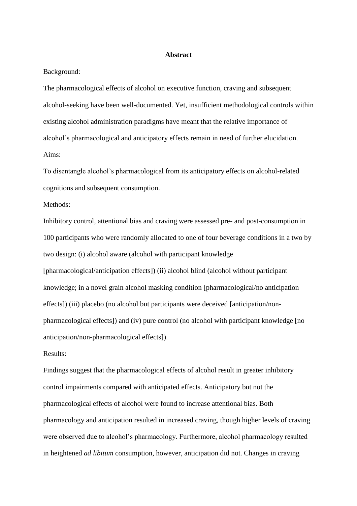#### **Abstract**

Background:

The pharmacological effects of alcohol on executive function, craving and subsequent alcohol-seeking have been well-documented. Yet, insufficient methodological controls within existing alcohol administration paradigms have meant that the relative importance of alcohol's pharmacological and anticipatory effects remain in need of further elucidation. Aims:

To disentangle alcohol's pharmacological from its anticipatory effects on alcohol-related cognitions and subsequent consumption.

### Methods:

Inhibitory control, attentional bias and craving were assessed pre- and post-consumption in 100 participants who were randomly allocated to one of four beverage conditions in a two by two design: (i) alcohol aware (alcohol with participant knowledge [pharmacological/anticipation effects]) (ii) alcohol blind (alcohol without participant knowledge; in a novel grain alcohol masking condition [pharmacological/no anticipation effects]) (iii) placebo (no alcohol but participants were deceived [anticipation/nonpharmacological effects]) and (iv) pure control (no alcohol with participant knowledge [no anticipation/non-pharmacological effects]).

# Results:

Findings suggest that the pharmacological effects of alcohol result in greater inhibitory control impairments compared with anticipated effects. Anticipatory but not the pharmacological effects of alcohol were found to increase attentional bias. Both pharmacology and anticipation resulted in increased craving, though higher levels of craving were observed due to alcohol's pharmacology. Furthermore, alcohol pharmacology resulted in heightened *ad libitum* consumption, however, anticipation did not. Changes in craving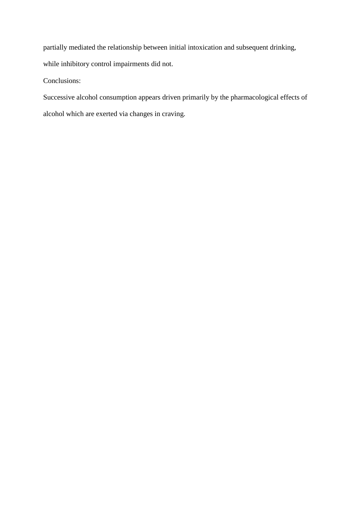partially mediated the relationship between initial intoxication and subsequent drinking, while inhibitory control impairments did not.

Conclusions:

Successive alcohol consumption appears driven primarily by the pharmacological effects of alcohol which are exerted via changes in craving.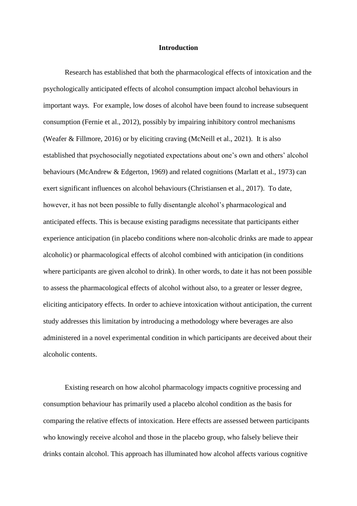#### **Introduction**

Research has established that both the pharmacological effects of intoxication and the psychologically anticipated effects of alcohol consumption impact alcohol behaviours in important ways. For example, low doses of alcohol have been found to increase subsequent consumption (Fernie et al., 2012), possibly by impairing inhibitory control mechanisms (Weafer & Fillmore, 2016) or by eliciting craving (McNeill et al., 2021). It is also established that psychosocially negotiated expectations about one's own and others' alcohol behaviours (McAndrew & Edgerton, 1969) and related cognitions (Marlatt et al., 1973) can exert significant influences on alcohol behaviours (Christiansen et al., 2017). To date, however, it has not been possible to fully disentangle alcohol's pharmacological and anticipated effects. This is because existing paradigms necessitate that participants either experience anticipation (in placebo conditions where non-alcoholic drinks are made to appear alcoholic) or pharmacological effects of alcohol combined with anticipation (in conditions where participants are given alcohol to drink). In other words, to date it has not been possible to assess the pharmacological effects of alcohol without also, to a greater or lesser degree, eliciting anticipatory effects. In order to achieve intoxication without anticipation, the current study addresses this limitation by introducing a methodology where beverages are also administered in a novel experimental condition in which participants are deceived about their alcoholic contents.

Existing research on how alcohol pharmacology impacts cognitive processing and consumption behaviour has primarily used a placebo alcohol condition as the basis for comparing the relative effects of intoxication. Here effects are assessed between participants who knowingly receive alcohol and those in the placebo group, who falsely believe their drinks contain alcohol. This approach has illuminated how alcohol affects various cognitive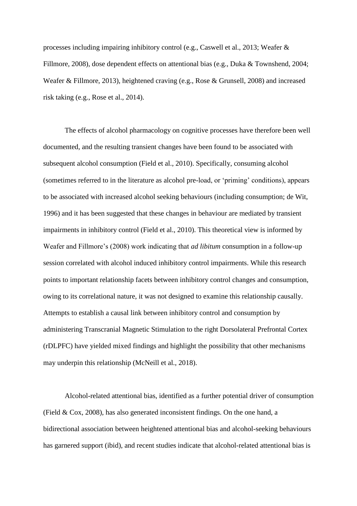processes including impairing inhibitory control (e.g., Caswell et al., 2013; Weafer & Fillmore, 2008), dose dependent effects on attentional bias (e.g., Duka & Townshend, 2004; Weafer & Fillmore, 2013), heightened craving (e.g., Rose & Grunsell, 2008) and increased risk taking (e.g., Rose et al., 2014).

The effects of alcohol pharmacology on cognitive processes have therefore been well documented, and the resulting transient changes have been found to be associated with subsequent alcohol consumption (Field et al., 2010). Specifically, consuming alcohol (sometimes referred to in the literature as alcohol pre-load, or 'priming' conditions), appears to be associated with increased alcohol seeking behaviours (including consumption; de Wit, 1996) and it has been suggested that these changes in behaviour are mediated by transient impairments in inhibitory control (Field et al., 2010). This theoretical view is informed by Weafer and Fillmore's (2008) work indicating that *ad libitum* consumption in a follow-up session correlated with alcohol induced inhibitory control impairments. While this research points to important relationship facets between inhibitory control changes and consumption, owing to its correlational nature, it was not designed to examine this relationship causally. Attempts to establish a causal link between inhibitory control and consumption by administering Transcranial Magnetic Stimulation to the right Dorsolateral Prefrontal Cortex (rDLPFC) have yielded mixed findings and highlight the possibility that other mechanisms may underpin this relationship (McNeill et al., 2018).

Alcohol-related attentional bias, identified as a further potential driver of consumption (Field & Cox, 2008), has also generated inconsistent findings. On the one hand, a bidirectional association between heightened attentional bias and alcohol-seeking behaviours has garnered support (ibid), and recent studies indicate that alcohol-related attentional bias is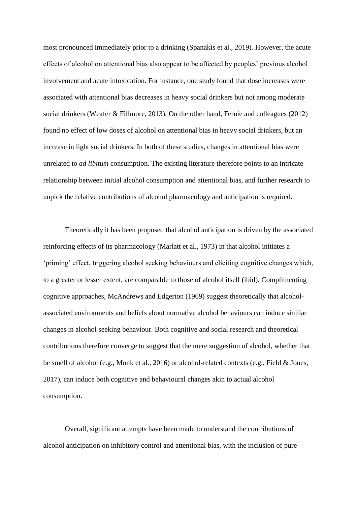most pronounced immediately prior to a drinking (Spanakis et al., 2019). However, the acute effects of alcohol on attentional bias also appear to be affected by peoples' previous alcohol involvement and acute intoxication. For instance, one study found that dose increases were associated with attentional bias decreases in heavy social drinkers but not among moderate social drinkers (Weafer & Fillmore, 2013). On the other hand, Fernie and colleagues (2012) found no effect of low doses of alcohol on attentional bias in heavy social drinkers, but an increase in light social drinkers. In both of these studies, changes in attentional bias were unrelated to *ad libitum* consumption. The existing literature therefore points to an intricate relationship between initial alcohol consumption and attentional bias, and further research to unpick the relative contributions of alcohol pharmacology and anticipation is required.

Theoretically it has been proposed that alcohol anticipation is driven by the associated reinforcing effects of its pharmacology (Marlatt et al., 1973) in that alcohol initiates a 'priming' effect, triggering alcohol seeking behaviours and eliciting cognitive changes which, to a greater or lesser extent, are comparable to those of alcohol itself (ibid). Complimenting cognitive approaches, McAndrews and Edgerton (1969) suggest theoretically that alcoholassociated environments and beliefs about normative alcohol behaviours can induce similar changes in alcohol seeking behaviour. Both cognitive and social research and theoretical contributions therefore converge to suggest that the mere suggestion of alcohol, whether that be smell of alcohol (e.g., Monk et al., 2016) or alcohol-related contexts (e.g., Field & Jones, 2017), can induce both cognitive and behavioural changes akin to actual alcohol consumption.

Overall, significant attempts have been made to understand the contributions of alcohol anticipation on inhibitory control and attentional bias, with the inclusion of pure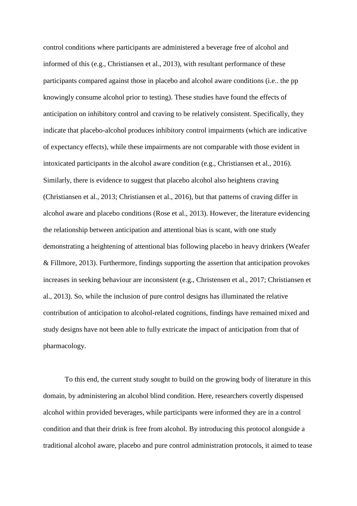control conditions where participants are administered a beverage free of alcohol and informed of this (e.g., Christiansen et al., 2013), with resultant performance of these participants compared against those in placebo and alcohol aware conditions (i.e.. the pp knowingly consume alcohol prior to testing). These studies have found the effects of anticipation on inhibitory control and craving to be relatively consistent. Specifically, they indicate that placebo-alcohol produces inhibitory control impairments (which are indicative of expectancy effects), while these impairments are not comparable with those evident in intoxicated participants in the alcohol aware condition (e.g., Christiansen et al., 2016). Similarly, there is evidence to suggest that placebo alcohol also heightens craving (Christiansen et al., 2013; Christiansen et al., 2016), but that patterns of craving differ in alcohol aware and placebo conditions (Rose et al., 2013). However, the literature evidencing the relationship between anticipation and attentional bias is scant, with one study demonstrating a heightening of attentional bias following placebo in heavy drinkers (Weafer & Fillmore, 2013). Furthermore, findings supporting the assertion that anticipation provokes increases in seeking behaviour are inconsistent (e.g., Christensen et al., 2017; Christiansen et al., 2013). So, while the inclusion of pure control designs has illuminated the relative contribution of anticipation to alcohol-related cognitions, findings have remained mixed and study designs have not been able to fully extricate the impact of anticipation from that of pharmacology.

To this end, the current study sought to build on the growing body of literature in this domain, by administering an alcohol blind condition. Here, researchers covertly dispensed alcohol within provided beverages, while participants were informed they are in a control condition and that their drink is free from alcohol. By introducing this protocol alongside a traditional alcohol aware, placebo and pure control administration protocols, it aimed to tease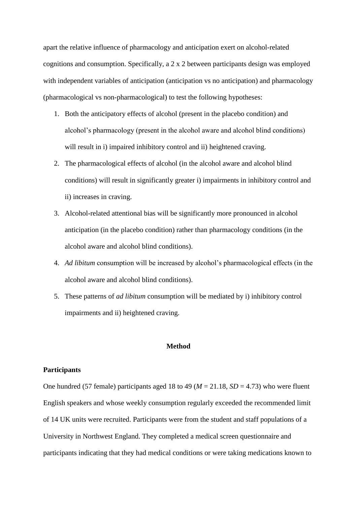apart the relative influence of pharmacology and anticipation exert on alcohol-related cognitions and consumption. Specifically, a 2 x 2 between participants design was employed with independent variables of anticipation (anticipation vs no anticipation) and pharmacology (pharmacological vs non-pharmacological) to test the following hypotheses:

- 1. Both the anticipatory effects of alcohol (present in the placebo condition) and alcohol's pharmacology (present in the alcohol aware and alcohol blind conditions) will result in i) impaired inhibitory control and ii) heightened craving.
- 2. The pharmacological effects of alcohol (in the alcohol aware and alcohol blind conditions) will result in significantly greater i) impairments in inhibitory control and ii) increases in craving.
- 3. Alcohol-related attentional bias will be significantly more pronounced in alcohol anticipation (in the placebo condition) rather than pharmacology conditions (in the alcohol aware and alcohol blind conditions).
- 4. *Ad libitum* consumption will be increased by alcohol's pharmacological effects (in the alcohol aware and alcohol blind conditions).
- 5. These patterns of *ad libitum* consumption will be mediated by i) inhibitory control impairments and ii) heightened craving.

### **Method**

### **Participants**

One hundred (57 female) participants aged 18 to 49 ( $M = 21.18$ ,  $SD = 4.73$ ) who were fluent English speakers and whose weekly consumption regularly exceeded the recommended limit of 14 UK units were recruited. Participants were from the student and staff populations of a University in Northwest England. They completed a medical screen questionnaire and participants indicating that they had medical conditions or were taking medications known to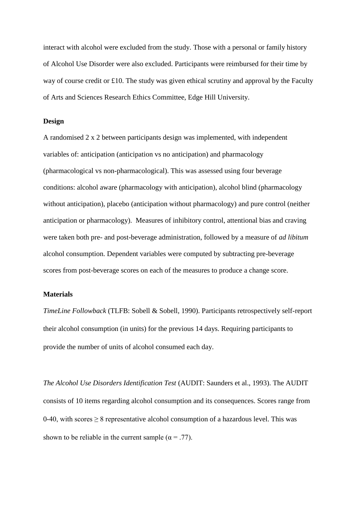interact with alcohol were excluded from the study. Those with a personal or family history of Alcohol Use Disorder were also excluded. Participants were reimbursed for their time by way of course credit or £10. The study was given ethical scrutiny and approval by the Faculty of Arts and Sciences Research Ethics Committee, Edge Hill University.

### **Design**

A randomised 2 x 2 between participants design was implemented, with independent variables of: anticipation (anticipation vs no anticipation) and pharmacology (pharmacological vs non-pharmacological). This was assessed using four beverage conditions: alcohol aware (pharmacology with anticipation), alcohol blind (pharmacology without anticipation), placebo (anticipation without pharmacology) and pure control (neither anticipation or pharmacology). Measures of inhibitory control, attentional bias and craving were taken both pre- and post-beverage administration, followed by a measure of *ad libitum* alcohol consumption. Dependent variables were computed by subtracting pre-beverage scores from post-beverage scores on each of the measures to produce a change score.

### **Materials**

*TimeLine Followback* (TLFB: Sobell & Sobell, 1990). Participants retrospectively self-report their alcohol consumption (in units) for the previous 14 days. Requiring participants to provide the number of units of alcohol consumed each day.

*The Alcohol Use Disorders Identification Test* (AUDIT: Saunders et al., 1993). The AUDIT consists of 10 items regarding alcohol consumption and its consequences. Scores range from 0-40, with scores  $\geq 8$  representative alcohol consumption of a hazardous level. This was shown to be reliable in the current sample ( $\alpha$  = .77).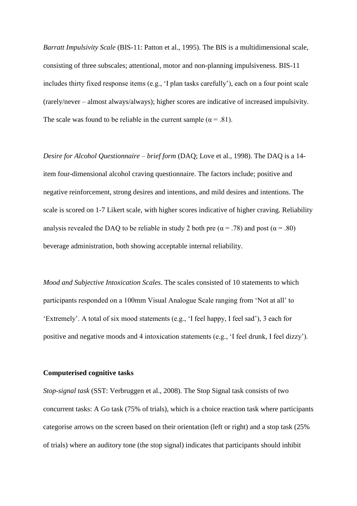*Barratt Impulsivity Scale* (BIS-11: Patton et al., 1995). The BIS is a multidimensional scale, consisting of three subscales; attentional, motor and non-planning impulsiveness. BIS-11 includes thirty fixed response items (e.g., 'I plan tasks carefully'), each on a four point scale (rarely/never – almost always/always); higher scores are indicative of increased impulsivity. The scale was found to be reliable in the current sample ( $\alpha = .81$ ).

*Desire for Alcohol Questionnaire – brief form* (DAQ; Love et al., 1998). The DAQ is a 14 item four-dimensional alcohol craving questionnaire. The factors include; positive and negative reinforcement, strong desires and intentions, and mild desires and intentions. The scale is scored on 1-7 Likert scale, with higher scores indicative of higher craving. Reliability analysis revealed the DAQ to be reliable in study 2 both pre ( $\alpha$  = .78) and post ( $\alpha$  = .80) beverage administration, both showing acceptable internal reliability.

*Mood and Subjective Intoxication Scales*. The scales consisted of 10 statements to which participants responded on a 100mm Visual Analogue Scale ranging from 'Not at all' to 'Extremely'. A total of six mood statements (e.g., 'I feel happy, I feel sad'), 3 each for positive and negative moods and 4 intoxication statements (e.g., 'I feel drunk, I feel dizzy').

### **Computerised cognitive tasks**

*Stop-signal task* (SST: Verbruggen et al., 2008). The Stop Signal task consists of two concurrent tasks: A Go task (75% of trials), which is a choice reaction task where participants categorise arrows on the screen based on their orientation (left or right) and a stop task (25% of trials) where an auditory tone (the stop signal) indicates that participants should inhibit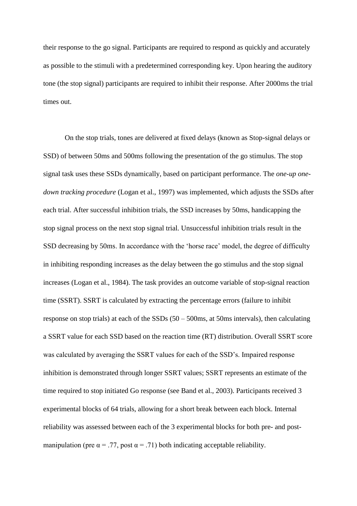their response to the go signal. Participants are required to respond as quickly and accurately as possible to the stimuli with a predetermined corresponding key. Upon hearing the auditory tone (the stop signal) participants are required to inhibit their response. After 2000ms the trial times out.

On the stop trials, tones are delivered at fixed delays (known as Stop-signal delays or SSD) of between 50ms and 500ms following the presentation of the go stimulus. The stop signal task uses these SSDs dynamically, based on participant performance. The *one-up onedown tracking procedure* (Logan et al., 1997) was implemented, which adjusts the SSDs after each trial. After successful inhibition trials, the SSD increases by 50ms, handicapping the stop signal process on the next stop signal trial. Unsuccessful inhibition trials result in the SSD decreasing by 50ms. In accordance with the 'horse race' model, the degree of difficulty in inhibiting responding increases as the delay between the go stimulus and the stop signal increases (Logan et al., 1984). The task provides an outcome variable of stop-signal reaction time (SSRT). SSRT is calculated by extracting the percentage errors (failure to inhibit response on stop trials) at each of the SSDs (50 – 500ms, at 50ms intervals), then calculating a SSRT value for each SSD based on the reaction time (RT) distribution. Overall SSRT score was calculated by averaging the SSRT values for each of the SSD's. Impaired response inhibition is demonstrated through longer SSRT values; SSRT represents an estimate of the time required to stop initiated Go response (see Band et al., 2003). Participants received 3 experimental blocks of 64 trials, allowing for a short break between each block. Internal reliability was assessed between each of the 3 experimental blocks for both pre- and postmanipulation (pre  $\alpha = .77$ , post  $\alpha = .71$ ) both indicating acceptable reliability.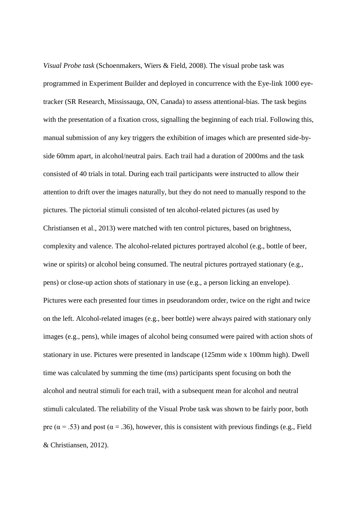*Visual Probe task* (Schoenmakers, Wiers & Field, 2008). The visual probe task was programmed in Experiment Builder and deployed in concurrence with the Eye-link 1000 eyetracker (SR Research, Mississauga, ON, Canada) to assess attentional-bias. The task begins with the presentation of a fixation cross, signalling the beginning of each trial. Following this, manual submission of any key triggers the exhibition of images which are presented side-byside 60mm apart, in alcohol/neutral pairs. Each trail had a duration of 2000ms and the task consisted of 40 trials in total. During each trail participants were instructed to allow their attention to drift over the images naturally, but they do not need to manually respond to the pictures. The pictorial stimuli consisted of ten alcohol-related pictures (as used by Christiansen et al., 2013) were matched with ten control pictures, based on brightness, complexity and valence. The alcohol-related pictures portrayed alcohol (e.g., bottle of beer, wine or spirits) or alcohol being consumed. The neutral pictures portrayed stationary (e.g., pens) or close-up action shots of stationary in use (e.g., a person licking an envelope). Pictures were each presented four times in pseudorandom order, twice on the right and twice on the left. Alcohol-related images (e.g., beer bottle) were always paired with stationary only images (e.g., pens), while images of alcohol being consumed were paired with action shots of stationary in use. Pictures were presented in landscape (125mm wide x 100mm high). Dwell time was calculated by summing the time (ms) participants spent focusing on both the alcohol and neutral stimuli for each trail, with a subsequent mean for alcohol and neutral stimuli calculated. The reliability of the Visual Probe task was shown to be fairly poor, both pre ( $\alpha$  = .53) and post ( $\alpha$  = .36), however, this is consistent with previous findings (e.g., Field & Christiansen, 2012).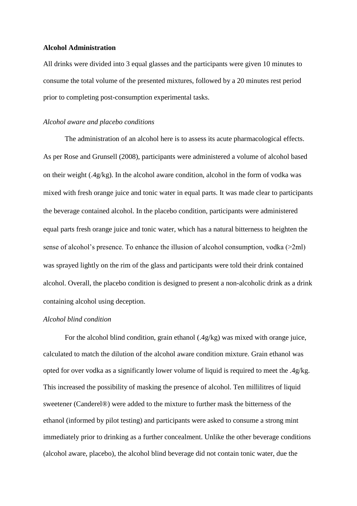#### **Alcohol Administration**

All drinks were divided into 3 equal glasses and the participants were given 10 minutes to consume the total volume of the presented mixtures, followed by a 20 minutes rest period prior to completing post-consumption experimental tasks.

## *Alcohol aware and placebo conditions*

The administration of an alcohol here is to assess its acute pharmacological effects. As per Rose and Grunsell (2008), participants were administered a volume of alcohol based on their weight (.4g/kg). In the alcohol aware condition, alcohol in the form of vodka was mixed with fresh orange juice and tonic water in equal parts. It was made clear to participants the beverage contained alcohol. In the placebo condition, participants were administered equal parts fresh orange juice and tonic water, which has a natural bitterness to heighten the sense of alcohol's presence. To enhance the illusion of alcohol consumption, vodka (>2ml) was sprayed lightly on the rim of the glass and participants were told their drink contained alcohol. Overall, the placebo condition is designed to present a non-alcoholic drink as a drink containing alcohol using deception.

## *Alcohol blind condition*

For the alcohol blind condition, grain ethanol (.4g/kg) was mixed with orange juice, calculated to match the dilution of the alcohol aware condition mixture. Grain ethanol was opted for over vodka as a significantly lower volume of liquid is required to meet the .4g/kg. This increased the possibility of masking the presence of alcohol. Ten millilitres of liquid sweetener (Canderel®) were added to the mixture to further mask the bitterness of the ethanol (informed by pilot testing) and participants were asked to consume a strong mint immediately prior to drinking as a further concealment. Unlike the other beverage conditions (alcohol aware, placebo), the alcohol blind beverage did not contain tonic water, due the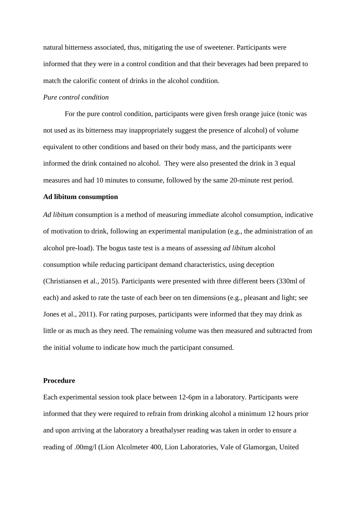natural bitterness associated, thus, mitigating the use of sweetener. Participants were informed that they were in a control condition and that their beverages had been prepared to match the calorific content of drinks in the alcohol condition.

### *Pure control condition*

For the pure control condition, participants were given fresh orange juice (tonic was not used as its bitterness may inappropriately suggest the presence of alcohol) of volume equivalent to other conditions and based on their body mass, and the participants were informed the drink contained no alcohol. They were also presented the drink in 3 equal measures and had 10 minutes to consume, followed by the same 20-minute rest period.

#### **Ad libitum consumption**

*Ad libitum* consumption is a method of measuring immediate alcohol consumption, indicative of motivation to drink, following an experimental manipulation (e.g., the administration of an alcohol pre-load). The bogus taste test is a means of assessing *ad libitum* alcohol consumption while reducing participant demand characteristics, using deception (Christiansen et al., 2015). Participants were presented with three different beers (330ml of each) and asked to rate the taste of each beer on ten dimensions (e.g., pleasant and light; see Jones et al., 2011). For rating purposes, participants were informed that they may drink as little or as much as they need. The remaining volume was then measured and subtracted from the initial volume to indicate how much the participant consumed.

### **Procedure**

Each experimental session took place between 12-6pm in a laboratory. Participants were informed that they were required to refrain from drinking alcohol a minimum 12 hours prior and upon arriving at the laboratory a breathalyser reading was taken in order to ensure a reading of .00mg/l (Lion Alcolmeter 400, Lion Laboratories, Vale of Glamorgan, United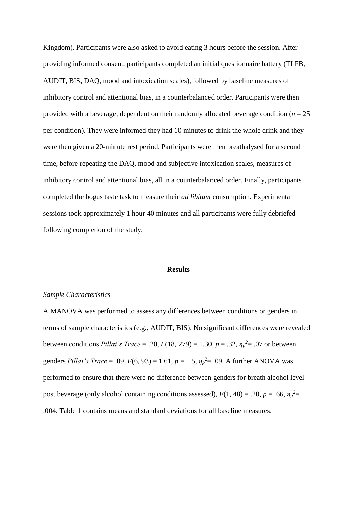Kingdom). Participants were also asked to avoid eating 3 hours before the session. After providing informed consent, participants completed an initial questionnaire battery (TLFB, AUDIT, BIS, DAQ, mood and intoxication scales), followed by baseline measures of inhibitory control and attentional bias, in a counterbalanced order. Participants were then provided with a beverage, dependent on their randomly allocated beverage condition ( $n = 25$ ) per condition). They were informed they had 10 minutes to drink the whole drink and they were then given a 20-minute rest period. Participants were then breathalysed for a second time, before repeating the DAQ, mood and subjective intoxication scales, measures of inhibitory control and attentional bias, all in a counterbalanced order. Finally, participants completed the bogus taste task to measure their *ad libitum* consumption. Experimental sessions took approximately 1 hour 40 minutes and all participants were fully debriefed following completion of the study.

#### **Results**

### *Sample Characteristics*

A MANOVA was performed to assess any differences between conditions or genders in terms of sample characteristics (e.g., AUDIT, BIS). No significant differences were revealed between conditions *Pillai's Trace* = .20,  $F(18, 279) = 1.30$ ,  $p = .32$ ,  $\eta_p^2 = .07$  or between genders *Pillai's Trace* = .09,  $F(6, 93) = 1.61$ ,  $p = .15$ ,  $\eta_p^2 = .09$ . A further ANOVA was performed to ensure that there were no difference between genders for breath alcohol level post beverage (only alcohol containing conditions assessed),  $F(1, 48) = .20$ ,  $p = .66$ ,  $\eta_p^2 =$ .004. Table 1 contains means and standard deviations for all baseline measures.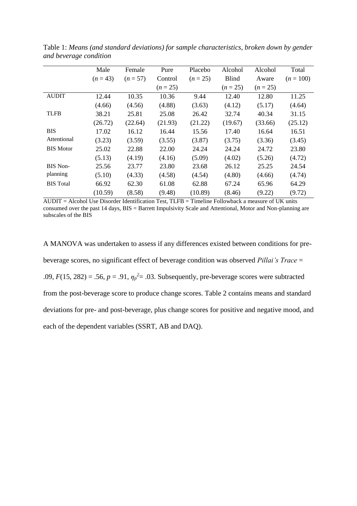|                  | Male       | Female     | Pure       | Placebo    | Alcohol      | Alcohol    | Total       |
|------------------|------------|------------|------------|------------|--------------|------------|-------------|
|                  | $(n = 43)$ | $(n = 57)$ | Control    | $(n = 25)$ | <b>Blind</b> | Aware      | $(n = 100)$ |
|                  |            |            | $(n = 25)$ |            | $(n = 25)$   | $(n = 25)$ |             |
| <b>AUDIT</b>     | 12.44      | 10.35      | 10.36      | 9.44       | 12.40        | 12.80      | 11.25       |
|                  | (4.66)     | (4.56)     | (4.88)     | (3.63)     | (4.12)       | (5.17)     | (4.64)      |
| <b>TLFB</b>      | 38.21      | 25.81      | 25.08      | 26.42      | 32.74        | 40.34      | 31.15       |
|                  | (26.72)    | (22.64)    | (21.93)    | (21.22)    | (19.67)      | (33.66)    | (25.12)     |
| <b>BIS</b>       | 17.02      | 16.12      | 16.44      | 15.56      | 17.40        | 16.64      | 16.51       |
| Attentional      | (3.23)     | (3.59)     | (3.55)     | (3.87)     | (3.75)       | (3.36)     | (3.45)      |
| <b>BIS</b> Motor | 25.02      | 22.88      | 22.00      | 24.24      | 24.24        | 24.72      | 23.80       |
|                  | (5.13)     | (4.19)     | (4.16)     | (5.09)     | (4.02)       | (5.26)     | (4.72)      |
| <b>BIS Non-</b>  | 25.56      | 23.77      | 23.80      | 23.68      | 26.12        | 25.25      | 24.54       |
| planning         | (5.10)     | (4.33)     | (4.58)     | (4.54)     | (4.80)       | (4.66)     | (4.74)      |
| <b>BIS</b> Total | 66.92      | 62.30      | 61.08      | 62.88      | 67.24        | 65.96      | 64.29       |
|                  | (10.59)    | (8.58)     | (9.48)     | (10.89)    | (8.46)       | (9.22)     | (9.72)      |

Table 1: *Means (and standard deviations) for sample characteristics, broken down by gender and beverage condition*

AUDIT = Alcohol Use Disorder Identification Test, TLFB = Timeline Followback a measure of UK units consumed over the past 14 days, BIS = Barrett Impulsivity Scale and Attentional, Motor and Non-planning are subscales of the BIS

A MANOVA was undertaken to assess if any differences existed between conditions for prebeverage scores, no significant effect of beverage condition was observed *Pillai's Trace* = .09,  $F(15, 282) = .56$ ,  $p = .91$ ,  $\eta_p^2 = .03$ . Subsequently, pre-beverage scores were subtracted from the post-beverage score to produce change scores. Table 2 contains means and standard deviations for pre- and post-beverage, plus change scores for positive and negative mood, and each of the dependent variables (SSRT, AB and DAQ).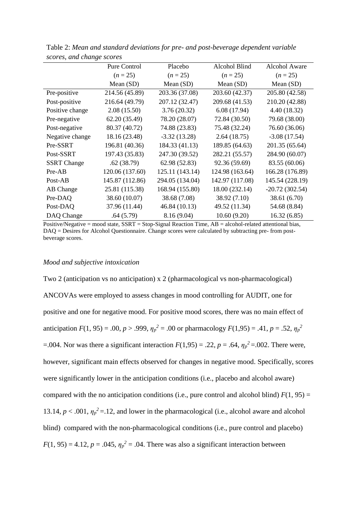|                    | <b>Pure Control</b> | Placebo         | Alcohol Blind   | <b>Alcohol Aware</b> |
|--------------------|---------------------|-----------------|-----------------|----------------------|
|                    | $(n = 25)$          | $(n = 25)$      | $(n = 25)$      | $(n = 25)$           |
|                    | Mean $(SD)$         | Mean $(SD)$     | Mean $(SD)$     | Mean $(SD)$          |
| Pre-positive       | 214.56 (45.89)      | 203.36 (37.08)  | 203.60 (42.37)  | 205.80 (42.58)       |
| Post-positive      | 216.64 (49.79)      | 207.12 (32.47)  | 209.68 (41.53)  | 210.20 (42.88)       |
| Positive change    | 2.08(15.50)         | 3.76(20.32)     | 6.08(17.94)     | 4.40 (18.32)         |
| Pre-negative       | 62.20 (35.49)       | 78.20 (28.07)   | 72.84 (30.50)   | 79.68 (38.00)        |
| Post-negative      | 80.37 (40.72)       | 74.88 (23.83)   | 75.48 (32.24)   | 76.60 (36.06)        |
| Negative change    | 18.16 (23.48)       | $-3.32(13.28)$  | 2.64(18.75)     | $-3.08(17.54)$       |
| Pre-SSRT           | 196.81 (40.36)      | 184.33 (41.13)  | 189.85 (64.63)  | 201.35 (65.64)       |
| Post-SSRT          | 197.43 (35.83)      | 247.30 (39.52)  | 282.21 (55.57)  | 284.90 (60.07)       |
| <b>SSRT</b> Change | .62(38.79)          | 62.98 (52.83)   | 92.36 (59.69)   | 83.55 (60.06)        |
| Pre-AB             | 120.06 (137.60)     | 125.11 (143.14) | 124.98 (163.64) | 166.28 (176.89)      |
| Post-AB            | 145.87 (112.86)     | 294.05 (134.04) | 142.97 (117.08) | 145.54 (228.19)      |
| AB Change          | 25.81 (115.38)      | 168.94 (155.80) | 18.00 (232.14)  | $-20.72(302.54)$     |
| Pre-DAQ            | 38.60 (10.07)       | 38.68 (7.08)    | 38.92 (7.10)    | 38.61 (6.70)         |
| Post-DAQ           | 37.96 (11.44)       | 46.84 (10.13)   | 49.52 (11.34)   | 54.68 (8.84)         |
| DAQ Change         | .64(5.79)           | 8.16(9.04)      | 10.60(9.20)     | 16.32(6.85)          |

Table 2: *Mean and standard deviations for pre- and post-beverage dependent variable scores, and change scores*

Positive/Negative = mood state, SSRT = Stop-Signal Reaction Time, AB = alcohol-related attentional bias, DAQ = Desires for Alcohol Questionnaire. Change scores were calculated by subtracting pre- from postbeverage scores.

### *Mood and subjective intoxication*

Two 2 (anticipation vs no anticipation) x 2 (pharmacological vs non-pharmacological) ANCOVAs were employed to assess changes in mood controlling for AUDIT, one for positive and one for negative mood. For positive mood scores, there was no main effect of anticipation  $F(1, 95) = .00$ ,  $p > .999$ ,  $\eta_p^2 = .00$  or pharmacology  $F(1,95) = .41$ ,  $p = .52$ ,  $\eta_p^2$  $=$ .004. Nor was there a significant interaction  $F(1,95) = .22$ ,  $p = .64$ ,  $\eta_p^2 = .002$ . There were, however, significant main effects observed for changes in negative mood. Specifically, scores were significantly lower in the anticipation conditions (i.e., placebo and alcohol aware) compared with the no anticipation conditions (i.e., pure control and alcohol blind)  $F(1, 95) =$ 13.14,  $p < .001$ ,  $\eta_p^2 = .12$ , and lower in the pharmacological (i.e., alcohol aware and alcohol blind) compared with the non-pharmacological conditions (i.e., pure control and placebo)  $F(1, 95) = 4.12$ ,  $p = .045$ ,  $\eta_p^2 = .04$ . There was also a significant interaction between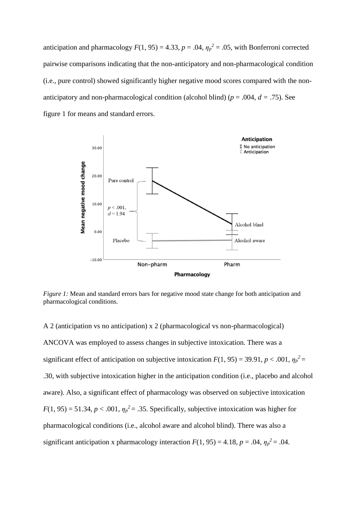anticipation and pharmacology  $F(1, 95) = 4.33$ ,  $p = .04$ ,  $\eta_p^2 = .05$ , with Bonferroni corrected pairwise comparisons indicating that the non-anticipatory and non-pharmacological condition (i.e., pure control) showed significantly higher negative mood scores compared with the nonanticipatory and non-pharmacological condition (alcohol blind) ( $p = .004$ ,  $d = .75$ ). See figure 1 for means and standard errors.



*Figure 1:* Mean and standard errors bars for negative mood state change for both anticipation and pharmacological conditions.

A 2 (anticipation vs no anticipation) x 2 (pharmacological vs non-pharmacological) ANCOVA was employed to assess changes in subjective intoxication. There was a significant effect of anticipation on subjective intoxication  $F(1, 95) = 39.91$ ,  $p < .001$ ,  $\eta_p^2 =$ .30, with subjective intoxication higher in the anticipation condition (i.e., placebo and alcohol aware). Also, a significant effect of pharmacology was observed on subjective intoxication  $F(1, 95) = 51.34, p < .001, \eta_p^2 = .35$ . Specifically, subjective intoxication was higher for pharmacological conditions (i.e., alcohol aware and alcohol blind). There was also a significant anticipation x pharmacology interaction  $F(1, 95) = 4.18$ ,  $p = .04$ ,  $\eta_p^2 = .04$ .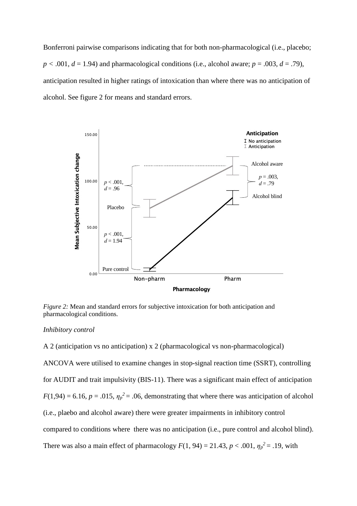Bonferroni pairwise comparisons indicating that for both non-pharmacological (i.e., placebo;  $p < .001$ ,  $d = 1.94$ ) and pharmacological conditions (i.e., alcohol aware;  $p = .003$ ,  $d = .79$ ), anticipation resulted in higher ratings of intoxication than where there was no anticipation of alcohol. See figure 2 for means and standard errors.



*Figure 2:* Mean and standard errors for subjective intoxication for both anticipation and pharmacological conditions.

#### *Inhibitory control*

A 2 (anticipation vs no anticipation) x 2 (pharmacological vs non-pharmacological) ANCOVA were utilised to examine changes in stop-signal reaction time (SSRT), controlling for AUDIT and trait impulsivity (BIS-11). There was a significant main effect of anticipation  $F(1,94) = 6.16$ ,  $p = .015$ ,  $\eta_p^2 = .06$ , demonstrating that where there was anticipation of alcohol (i.e., plaebo and alcohol aware) there were greater impairments in inhibitory control compared to conditions where there was no anticipation (i.e., pure control and alcohol blind). There was also a main effect of pharmacology  $F(1, 94) = 21.43$ ,  $p < .001$ ,  $\eta_p^2 = .19$ , with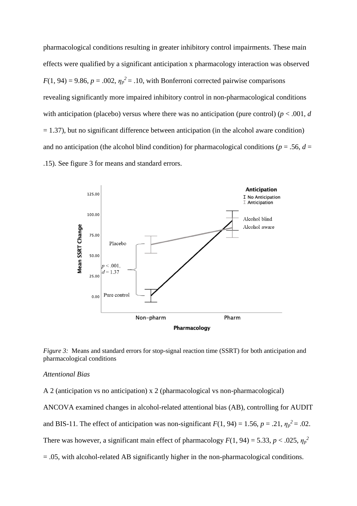pharmacological conditions resulting in greater inhibitory control impairments. These main effects were qualified by a significant anticipation x pharmacology interaction was observed  $F(1, 94) = 9.86$ ,  $p = .002$ ,  $\eta_p^2 = .10$ , with Bonferroni corrected pairwise comparisons revealing significantly more impaired inhibitory control in non-pharmacological conditions with anticipation (placebo) versus where there was no anticipation (pure control) ( $p < .001$ ,  $d$  $= 1.37$ ), but no significant difference between anticipation (in the alcohol aware condition) and no anticipation (the alcohol blind condition) for pharmacological conditions ( $p = .56$ ,  $d =$ .15). See figure 3 for means and standard errors.



*Figure 3:* Means and standard errors for stop-signal reaction time (SSRT) for both anticipation and pharmacological conditions

### *Attentional Bias*

A 2 (anticipation vs no anticipation) x 2 (pharmacological vs non-pharmacological)

ANCOVA examined changes in alcohol-related attentional bias (AB), controlling for AUDIT and BIS-11. The effect of anticipation was non-significant  $F(1, 94) = 1.56$ ,  $p = .21$ ,  $\eta_p^2 = .02$ .

There was however, a significant main effect of pharmacology  $F(1, 94) = 5.33$ ,  $p < .025$ ,  $\eta_p^2$ 

= .05, with alcohol-related AB significantly higher in the non-pharmacological conditions.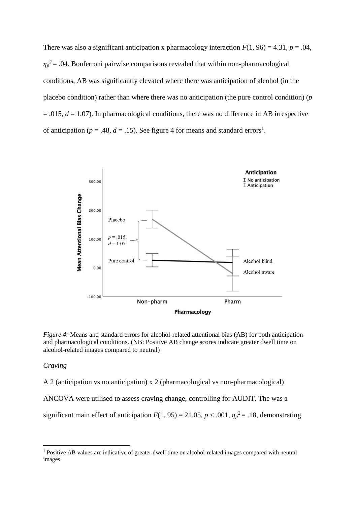There was also a significant anticipation x pharmacology interaction  $F(1, 96) = 4.31$ ,  $p = .04$ ,  $\eta_p^2$  = .04. Bonferroni pairwise comparisons revealed that within non-pharmacological conditions, AB was significantly elevated where there was anticipation of alcohol (in the placebo condition) rather than where there was no anticipation (the pure control condition) (*p*  = .015, *d* = 1.07). In pharmacological conditions, there was no difference in AB irrespective of anticipation ( $p = .48$ ,  $d = .15$ ). See figure 4 for means and standard errors<sup>1</sup>.



*Figure 4:* Means and standard errors for alcohol-related attentional bias (AB) for both anticipation and pharmacological conditions. (NB: Positive AB change scores indicate greater dwell time on alcohol-related images compared to neutral)

### *Craving*

 $\overline{a}$ 

A 2 (anticipation vs no anticipation) x 2 (pharmacological vs non-pharmacological)

ANCOVA were utilised to assess craving change, controlling for AUDIT. The was a

significant main effect of anticipation  $F(1, 95) = 21.05$ ,  $p < .001$ ,  $\eta_p^2 = .18$ , demonstrating

<sup>&</sup>lt;sup>1</sup> Positive AB values are indicative of greater dwell time on alcohol-related images compared with neutral images.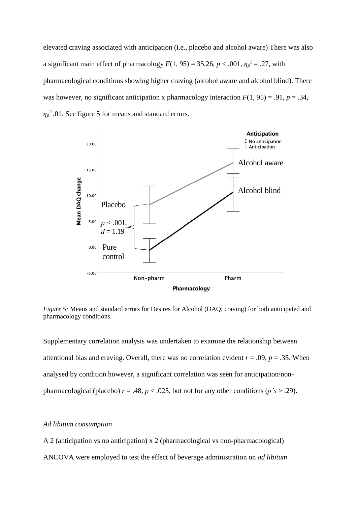elevated craving associated with anticipation (i.e., placebo and alcohol aware) There was also a significant main effect of pharmacology  $F(1, 95) = 35.26$ ,  $p < .001$ ,  $\eta_p^2 = .27$ , with pharmacological conditions showing higher craving (alcohol aware and alcohol blind). There was however, no significant anticipation x pharmacology interaction  $F(1, 95) = .91$ ,  $p = .34$ , *ηp <sup>2</sup>*.01. See figure 5 for means and standard errors.



*Figure 5:* Means and standard errors for Desires for Alcohol (DAQ; craving) for both anticipated and pharmacology conditions.

Supplementary correlation analysis was undertaken to examine the relationship between attentional bias and craving. Overall, there was no correlation evident  $r = .09$ ,  $p = .35$ . When analysed by condition however, a significant correlation was seen for anticipation/nonpharmacological (placebo)  $r = .48$ ,  $p < .025$ , but not for any other conditions ( $p's > .29$ ).

### *Ad libitum consumption*

A 2 (anticipation vs no anticipation) x 2 (pharmacological vs non-pharmacological) ANCOVA were employed to test the effect of beverage administration on *ad libitum*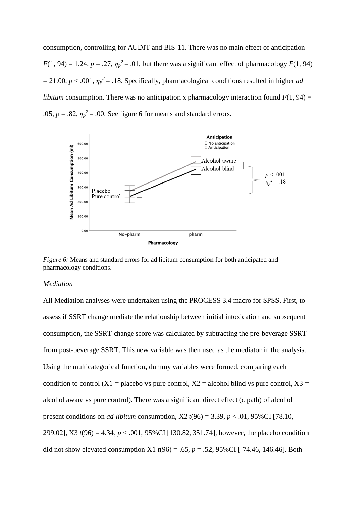consumption, controlling for AUDIT and BIS-11. There was no main effect of anticipation  $F(1, 94) = 1.24$ ,  $p = .27$ ,  $\eta_p^2 = .01$ , but there was a significant effect of pharmacology  $F(1, 94)$ = 21.00, *p* < .001, *η<sup>p</sup> <sup>2</sup>*= .18. Specifically, pharmacological conditions resulted in higher *ad libitum* consumption. There was no anticipation x pharmacology interaction found  $F(1, 94) =$ .05,  $p = .82$ ,  $\eta_p^2 = .00$ . See figure 6 for means and standard errors.



*Figure 6:* Means and standard errors for ad libitum consumption for both anticipated and pharmacology conditions.

#### *Mediation*

All Mediation analyses were undertaken using the PROCESS 3.4 macro for SPSS. First, to assess if SSRT change mediate the relationship between initial intoxication and subsequent consumption, the SSRT change score was calculated by subtracting the pre-beverage SSRT from post-beverage SSRT. This new variable was then used as the mediator in the analysis. Using the multicategorical function, dummy variables were formed, comparing each condition to control (X1 = placebo vs pure control, X2 = alcohol blind vs pure control, X3 = alcohol aware vs pure control). There was a significant direct effect (*c* path) of alcohol present conditions on *ad libitum* consumption,  $X2 t(96) = 3.39$ ,  $p < .01$ , 95%CI [78.10, 299.02], X3 *t*(96) = 4.34, *p* < .001, 95%CI [130.82, 351.74], however, the placebo condition did not show elevated consumption X1  $t(96) = .65$ ,  $p = .52$ , 95%CI [-74.46, 146.46]. Both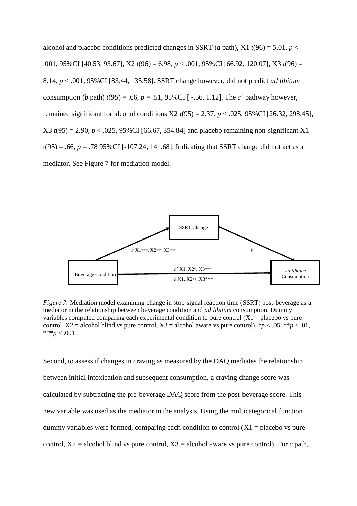alcohol and placebo conditions predicted changes in SSRT (*a* path), X1  $t(96) = 5.01$ ,  $p <$ .001, 95%CI [40.53, 93.67], X2 *t*(96) = 6.98, *p* < .001, 95%CI [66.92, 120.07], X3 *t*(96) = 8.14, *p* < .001, 95%CI [83.44, 135.58]. SSRT change however, did not predict *ad libitum*  consumption (*b* path)  $t(95) = .66$ ,  $p = .51$ ,  $95\%$ CI [ -.56, 1.12]. The *c*' pathway however, remained significant for alcohol conditions X2 *t*(95) = 2.37, *p* < .025, 95%CI [26.32, 298.45], X3 *t*(95) = 2.90, *p* < .025, 95%CI [66.67, 354.84] and placebo remaining non-significant X1  $t(95) = .66, p = .7895\%$ CI [-107.24, 141.68]. Indicating that SSRT change did not act as a mediator. See Figure 7 for mediation model.



*Figure 7:* Mediation model examining change in stop-signal reaction time (SSRT) post-beverage as a mediator in the relationship between beverage condition and *ad libitum* consumption. Dummy variables computed comparing each experimental condition to pure control  $(X1 =$  placebo vs pure control,  $X2$  = alcohol blind vs pure control,  $X3$  = alcohol aware vs pure control). \* $p < .05$ , \*\* $p < .01$ , \*\*\**p* < .001

Second, to assess if changes in craving as measured by the DAQ mediates the relationship between initial intoxication and subsequent consumption, a craving change score was calculated by subtracting the pre-beverage DAQ score from the post-beverage score. This new variable was used as the mediator in the analysis. Using the multicategorical function dummy variables were formed, comparing each condition to control  $(X1 =$  placebo vs pure control,  $X2$  = alcohol blind vs pure control,  $X3$  = alcohol aware vs pure control). For *c* path,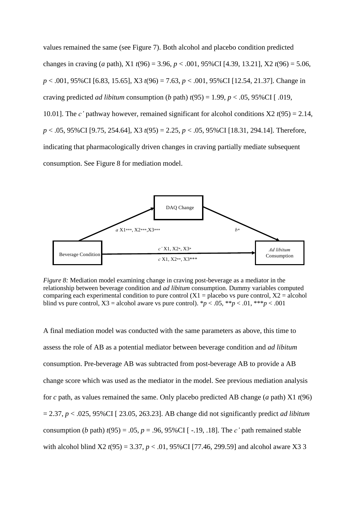values remained the same (see Figure 7). Both alcohol and placebo condition predicted changes in craving (*a* path), X1 *t*(96) = 3.96, *p* < .001, 95%CI [4.39, 13.21], X2 *t*(96) = 5.06, *p* < .001, 95%CI [6.83, 15.65], X3 *t*(96) = 7.63, *p* < .001, 95%CI [12.54, 21.37]. Change in craving predicted *ad libitum* consumption (*b* path)  $t(95) = 1.99$ ,  $p < .05$ , 95%CI [.019, 10.01]. The *c*' pathway however, remained significant for alcohol conditions  $X2 t(95) = 2.14$ , *p* < .05, 95%CI [9.75, 254.64], X3 *t*(95) = 2.25, *p* < .05, 95%CI [18.31, 294.14]. Therefore, indicating that pharmacologically driven changes in craving partially mediate subsequent consumption. See Figure 8 for mediation model.



*Figure 8:* Mediation model examining change in craving post-beverage as a mediator in the relationship between beverage condition and *ad libitum* consumption. Dummy variables computed comparing each experimental condition to pure control  $(X1 =$  placebo vs pure control,  $X2 =$  alcohol blind vs pure control,  $X3 =$  alcohol aware vs pure control).  $\frac{k}{p} < .05$ ,  $\frac{k}{p} < .01$ ,  $\frac{k}{p} < .001$ 

A final mediation model was conducted with the same parameters as above, this time to assess the role of AB as a potential mediator between beverage condition and *ad libitum*  consumption. Pre-beverage AB was subtracted from post-beverage AB to provide a AB change score which was used as the mediator in the model. See previous mediation analysis for *c* path, as values remained the same. Only placebo predicted AB change (*a* path) X1 *t*(96) = 2.37, *p* < .025, 95%CI [ 23.05, 263.23]. AB change did not significantly predict *ad libitum*  consumption (*b* path)  $t(95) = .05$ ,  $p = .96$ ,  $95\%$ CI [-.19, .18]. The *c*' path remained stable with alcohol blind X2 *t*(95) = 3.37, *p* < .01, 95%CI [77.46, 299.59] and alcohol aware X3 3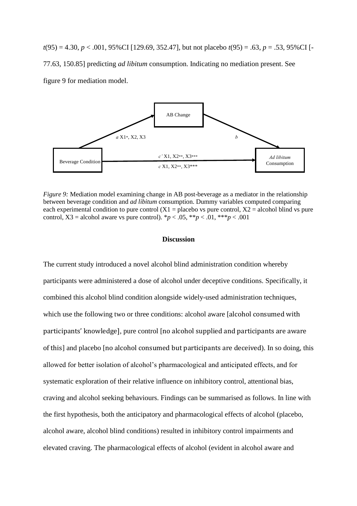*t*(95) = 4.30, *p* < .001, 95%CI [129.69, 352.47], but not placebo *t*(95) = .63, *p* = .53, 95%CI [- 77.63, 150.85] predicting *ad libitum* consumption. Indicating no mediation present. See figure 9 for mediation model.



*Figure 9:* Mediation model examining change in AB post-beverage as a mediator in the relationship between beverage condition and *ad libitum* consumption. Dummy variables computed comparing each experimental condition to pure control  $(X1 = \text{placebo vs pure control}, X2 = \text{alcohol blind vs pure})$ control,  $X3 =$  alcohol aware vs pure control).  ${}^*p < .05$ ,  ${}^{**}p < .01$ ,  ${}^{***}p < .001$ 

#### **Discussion**

The current study introduced a novel alcohol blind administration condition whereby participants were administered a dose of alcohol under deceptive conditions. Specifically, it combined this alcohol blind condition alongside widely-used administration techniques, which use the following two or three conditions: alcohol aware [alcohol consumed with participants' knowledge], pure control [no alcohol supplied and participants are aware of this] and placebo [no alcohol consumed but participants are deceived). In so doing, this allowed for better isolation of alcohol's pharmacological and anticipated effects, and for systematic exploration of their relative influence on inhibitory control, attentional bias, craving and alcohol seeking behaviours. Findings can be summarised as follows. In line with the first hypothesis, both the anticipatory and pharmacological effects of alcohol (placebo, alcohol aware, alcohol blind conditions) resulted in inhibitory control impairments and elevated craving. The pharmacological effects of alcohol (evident in alcohol aware and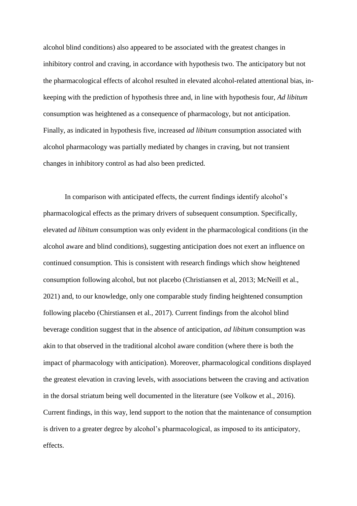alcohol blind conditions) also appeared to be associated with the greatest changes in inhibitory control and craving, in accordance with hypothesis two. The anticipatory but not the pharmacological effects of alcohol resulted in elevated alcohol-related attentional bias, inkeeping with the prediction of hypothesis three and, in line with hypothesis four, *Ad libitum*  consumption was heightened as a consequence of pharmacology, but not anticipation. Finally, as indicated in hypothesis five, increased *ad libitum* consumption associated with alcohol pharmacology was partially mediated by changes in craving, but not transient changes in inhibitory control as had also been predicted.

In comparison with anticipated effects, the current findings identify alcohol's pharmacological effects as the primary drivers of subsequent consumption. Specifically, elevated *ad libitum* consumption was only evident in the pharmacological conditions (in the alcohol aware and blind conditions), suggesting anticipation does not exert an influence on continued consumption. This is consistent with research findings which show heightened consumption following alcohol, but not placebo (Christiansen et al, 2013; McNeill et al., 2021) and, to our knowledge, only one comparable study finding heightened consumption following placebo (Chirstiansen et al., 2017). Current findings from the alcohol blind beverage condition suggest that in the absence of anticipation, *ad libitum* consumption was akin to that observed in the traditional alcohol aware condition (where there is both the impact of pharmacology with anticipation). Moreover, pharmacological conditions displayed the greatest elevation in craving levels, with associations between the craving and activation in the dorsal striatum being well documented in the literature (see Volkow et al., 2016). Current findings, in this way, lend support to the notion that the maintenance of consumption is driven to a greater degree by alcohol's pharmacological, as imposed to its anticipatory, effects.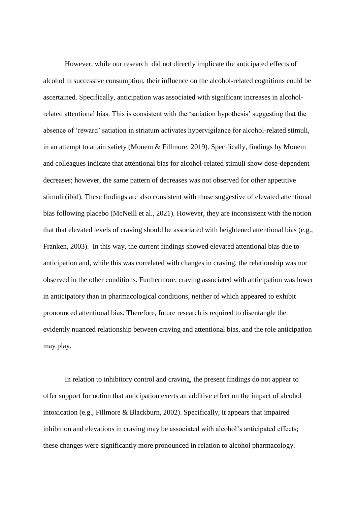However, while our research did not directly implicate the anticipated effects of alcohol in successive consumption, their influence on the alcohol-related cognitions could be ascertained. Specifically, anticipation was associated with significant increases in alcoholrelated attentional bias. This is consistent with the 'satiation hypothesis' suggesting that the absence of 'reward' satiation in striatum activates hypervigilance for alcohol-related stimuli, in an attempt to attain satiety (Monem & Fillmore, 2019). Specifically, findings by Monem and colleagues indicate that attentional bias for alcohol-related stimuli show dose-dependent decreases; however, the same pattern of decreases was not observed for other appetitive stimuli (ibid). These findings are also consistent with those suggestive of elevated attentional bias following placebo (McNeill et al., 2021). However, they are inconsistent with the notion that that elevated levels of craving should be associated with heightened attentional bias (e.g., Franken, 2003). In this way, the current findings showed elevated attentional bias due to anticipation and, while this was correlated with changes in craving, the relationship was not observed in the other conditions. Furthermore, craving associated with anticipation was lower in anticipatory than in pharmacological conditions, neither of which appeared to exhibit pronounced attentional bias. Therefore, future research is required to disentangle the evidently nuanced relationship between craving and attentional bias, and the role anticipation may play.

In relation to inhibitory control and craving, the present findings do not appear to offer support for notion that anticipation exerts an additive effect on the impact of alcohol intoxication (e.g., Fillmore & Blackburn, 2002). Specifically, it appears that impaired inhibition and elevations in craving may be associated with alcohol's anticipated effects; these changes were significantly more pronounced in relation to alcohol pharmacology.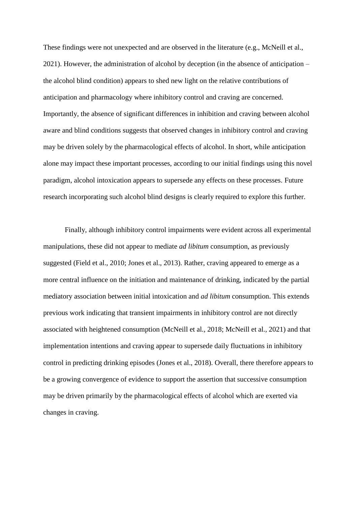These findings were not unexpected and are observed in the literature (e.g., McNeill et al., 2021). However, the administration of alcohol by deception (in the absence of anticipation – the alcohol blind condition) appears to shed new light on the relative contributions of anticipation and pharmacology where inhibitory control and craving are concerned. Importantly, the absence of significant differences in inhibition and craving between alcohol aware and blind conditions suggests that observed changes in inhibitory control and craving may be driven solely by the pharmacological effects of alcohol. In short, while anticipation alone may impact these important processes, according to our initial findings using this novel paradigm, alcohol intoxication appears to supersede any effects on these processes. Future research incorporating such alcohol blind designs is clearly required to explore this further.

Finally, although inhibitory control impairments were evident across all experimental manipulations, these did not appear to mediate *ad libitum* consumption, as previously suggested (Field et al., 2010; Jones et al., 2013). Rather, craving appeared to emerge as a more central influence on the initiation and maintenance of drinking, indicated by the partial mediatory association between initial intoxication and *ad libitum* consumption. This extends previous work indicating that transient impairments in inhibitory control are not directly associated with heightened consumption (McNeill et al., 2018; McNeill et al., 2021) and that implementation intentions and craving appear to supersede daily fluctuations in inhibitory control in predicting drinking episodes (Jones et al., 2018). Overall, there therefore appears to be a growing convergence of evidence to support the assertion that successive consumption may be driven primarily by the pharmacological effects of alcohol which are exerted via changes in craving.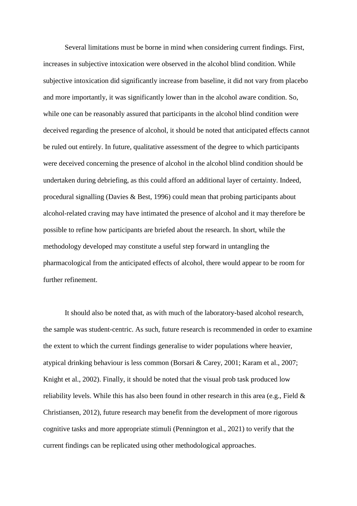Several limitations must be borne in mind when considering current findings. First, increases in subjective intoxication were observed in the alcohol blind condition. While subjective intoxication did significantly increase from baseline, it did not vary from placebo and more importantly, it was significantly lower than in the alcohol aware condition. So, while one can be reasonably assured that participants in the alcohol blind condition were deceived regarding the presence of alcohol, it should be noted that anticipated effects cannot be ruled out entirely. In future, qualitative assessment of the degree to which participants were deceived concerning the presence of alcohol in the alcohol blind condition should be undertaken during debriefing, as this could afford an additional layer of certainty. Indeed, procedural signalling (Davies & Best, 1996) could mean that probing participants about alcohol-related craving may have intimated the presence of alcohol and it may therefore be possible to refine how participants are briefed about the research. In short, while the methodology developed may constitute a useful step forward in untangling the pharmacological from the anticipated effects of alcohol, there would appear to be room for further refinement.

It should also be noted that, as with much of the laboratory-based alcohol research, the sample was student-centric. As such, future research is recommended in order to examine the extent to which the current findings generalise to wider populations where heavier, atypical drinking behaviour is less common (Borsari & Carey, 2001; Karam et al., 2007; Knight et al., 2002). Finally, it should be noted that the visual prob task produced low reliability levels. While this has also been found in other research in this area (e.g., Field & Christiansen, 2012), future research may benefit from the development of more rigorous cognitive tasks and more appropriate stimuli (Pennington et al., 2021) to verify that the current findings can be replicated using other methodological approaches.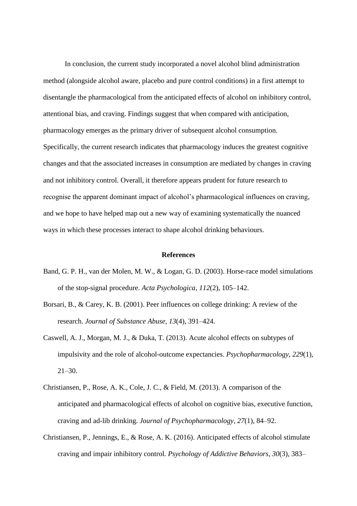In conclusion, the current study incorporated a novel alcohol blind administration method (alongside alcohol aware, placebo and pure control conditions) in a first attempt to disentangle the pharmacological from the anticipated effects of alcohol on inhibitory control, attentional bias, and craving. Findings suggest that when compared with anticipation, pharmacology emerges as the primary driver of subsequent alcohol consumption. Specifically, the current research indicates that pharmacology induces the greatest cognitive changes and that the associated increases in consumption are mediated by changes in craving and not inhibitory control. Overall, it therefore appears prudent for future research to recognise the apparent dominant impact of alcohol's pharmacological influences on craving, and we hope to have helped map out a new way of examining systematically the nuanced ways in which these processes interact to shape alcohol drinking behaviours.

#### **References**

- Band, G. P. H., van der Molen, M. W., & Logan, G. D. (2003). Horse-race model simulations of the stop-signal procedure. *Acta Psychologica*, *112*(2), 105–142.
- Borsari, B., & Carey, K. B. (2001). Peer influences on college drinking: A review of the research. *Journal of Substance Abuse*, *13*(4), 391–424.
- Caswell, A. J., Morgan, M. J., & Duka, T. (2013). Acute alcohol effects on subtypes of impulsivity and the role of alcohol-outcome expectancies. *Psychopharmacology*, *229*(1),  $21-30.$
- Christiansen, P., Rose, A. K., Cole, J. C., & Field, M. (2013). A comparison of the anticipated and pharmacological effects of alcohol on cognitive bias, executive function, craving and ad-lib drinking. *Journal of Psychopharmacology*, *27*(1), 84–92.
- Christiansen, P., Jennings, E., & Rose, A. K. (2016). Anticipated effects of alcohol stimulate craving and impair inhibitory control. *Psychology of Addictive Behaviors*, *30*(3), 383–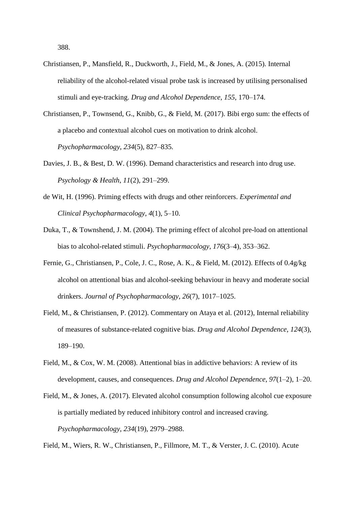388.

- Christiansen, P., Mansfield, R., Duckworth, J., Field, M., & Jones, A. (2015). Internal reliability of the alcohol-related visual probe task is increased by utilising personalised stimuli and eye-tracking. *Drug and Alcohol Dependence*, *155*, 170–174.
- Christiansen, P., Townsend, G., Knibb, G., & Field, M. (2017). Bibi ergo sum: the effects of a placebo and contextual alcohol cues on motivation to drink alcohol. *Psychopharmacology*, *234*(5), 827–835.
- Davies, J. B., & Best, D. W. (1996). Demand characteristics and research into drug use. *Psychology & Health*, *11*(2), 291–299.
- de Wit, H. (1996). Priming effects with drugs and other reinforcers. *Experimental and Clinical Psychopharmacology*, *4*(1), 5–10.
- Duka, T., & Townshend, J. M. (2004). The priming effect of alcohol pre-load on attentional bias to alcohol-related stimuli. *Psychopharmacology*, *176*(3–4), 353–362.
- Fernie, G., Christiansen, P., Cole, J. C., Rose, A. K., & Field, M. (2012). Effects of 0.4g/kg alcohol on attentional bias and alcohol-seeking behaviour in heavy and moderate social drinkers. *Journal of Psychopharmacology*, *26*(7), 1017–1025.
- Field, M., & Christiansen, P. (2012). Commentary on Ataya et al. (2012), Internal reliability of measures of substance-related cognitive bias. *Drug and Alcohol Dependence*, *124*(3), 189–190.
- Field, M., & Cox, W. M. (2008). Attentional bias in addictive behaviors: A review of its development, causes, and consequences. *Drug and Alcohol Dependence*, *97*(1–2), 1–20.
- Field, M., & Jones, A. (2017). Elevated alcohol consumption following alcohol cue exposure is partially mediated by reduced inhibitory control and increased craving. *Psychopharmacology*, *234*(19), 2979–2988.

Field, M., Wiers, R. W., Christiansen, P., Fillmore, M. T., & Verster, J. C. (2010). Acute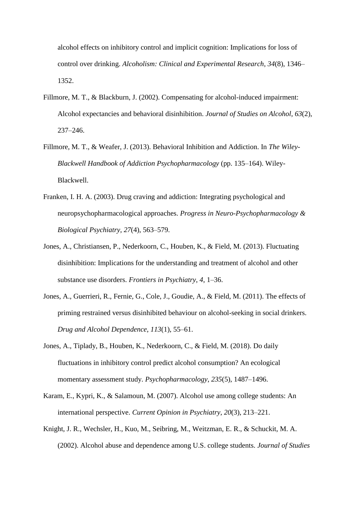alcohol effects on inhibitory control and implicit cognition: Implications for loss of control over drinking. *Alcoholism: Clinical and Experimental Research*, *34*(8), 1346– 1352.

- Fillmore, M. T., & Blackburn, J. (2002). Compensating for alcohol-induced impairment: Alcohol expectancies and behavioral disinhibition. *Journal of Studies on Alcohol*, *63*(2), 237–246.
- Fillmore, M. T., & Weafer, J. (2013). Behavioral Inhibition and Addiction. In *The Wiley-Blackwell Handbook of Addiction Psychopharmacology* (pp. 135–164). Wiley-Blackwell.
- Franken, I. H. A. (2003). Drug craving and addiction: Integrating psychological and neuropsychopharmacological approaches. *Progress in Neuro-Psychopharmacology & Biological Psychiatry*, *27*(4), 563–579.
- Jones, A., Christiansen, P., Nederkoorn, C., Houben, K., & Field, M. (2013). Fluctuating disinhibition: Implications for the understanding and treatment of alcohol and other substance use disorders. *Frontiers in Psychiatry*, *4*, 1–36.
- Jones, A., Guerrieri, R., Fernie, G., Cole, J., Goudie, A., & Field, M. (2011). The effects of priming restrained versus disinhibited behaviour on alcohol-seeking in social drinkers. *Drug and Alcohol Dependence*, *113*(1), 55–61.
- Jones, A., Tiplady, B., Houben, K., Nederkoorn, C., & Field, M. (2018). Do daily fluctuations in inhibitory control predict alcohol consumption? An ecological momentary assessment study. *Psychopharmacology*, *235*(5), 1487–1496.
- Karam, E., Kypri, K., & Salamoun, M. (2007). Alcohol use among college students: An international perspective. *Current Opinion in Psychiatry*, *20*(3), 213–221.
- Knight, J. R., Wechsler, H., Kuo, M., Seibring, M., Weitzman, E. R., & Schuckit, M. A. (2002). Alcohol abuse and dependence among U.S. college students. *Journal of Studies*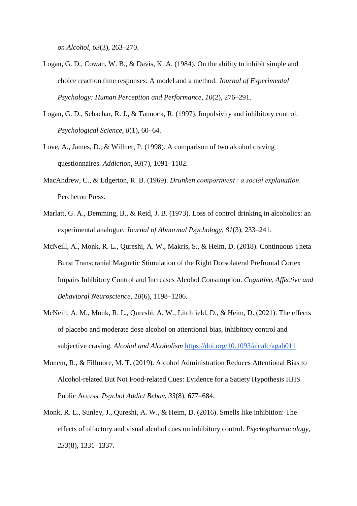*on Alcohol*, *63*(3), 263–270.

- Logan, G. D., Cowan, W. B., & Davis, K. A. (1984). On the ability to inhibit simple and choice reaction time responses: A model and a method. *Journal of Experimental Psychology: Human Perception and Performance*, *10*(2), 276–291.
- Logan, G. D., Schachar, R. J., & Tannock, R. (1997). Impulsivity and inhibitory control. *Psychological Science*, *8*(1), 60–64.
- Love, A., James, D., & Willner, P. (1998). A comparison of two alcohol craving questionnaires. *Addiction*, *93*(7), 1091–1102.
- MacAndrew, C., & Edgerton, R. B. (1969). *Drunken comportment : a social explanation*. Percheron Press.
- Marlatt, G. A., Demming, B., & Reid, J. B. (1973). Loss of control drinking in alcoholics: an experimental analogue. *Journal of Abnormal Psychology*, *81*(3), 233–241.
- McNeill, A., Monk, R. L., Qureshi, A. W., Makris, S., & Heim, D. (2018). Continuous Theta Burst Transcranial Magnetic Stimulation of the Right Dorsolateral Prefrontal Cortex Impairs Inhibitory Control and Increases Alcohol Consumption. *Cognitive, Affective and Behavioral Neuroscience*, *18*(6), 1198–1206.
- McNeill, A. M., Monk, R. L., Qureshi, A. W., Litchfield, D., & Heim, D. (2021). The effects of placebo and moderate dose alcohol on attentional bias, inhibitory control and subjective craving. *Alcohol and Alcoholism* <https://doi.org/10.1093/alcalc/agab011>
- Monem, R., & Fillmore, M. T. (2019). Alcohol Administration Reduces Attentional Bias to Alcohol-related But Not Food-related Cues: Evidence for a Satiety Hypothesis HHS Public Access. *Psychol Addict Behav*, *33*(8), 677–684.
- Monk, R. L., Sunley, J., Qureshi, A. W., & Heim, D. (2016). Smells like inhibition: The effects of olfactory and visual alcohol cues on inhibitory control. *Psychopharmacology*, *233*(8), 1331–1337.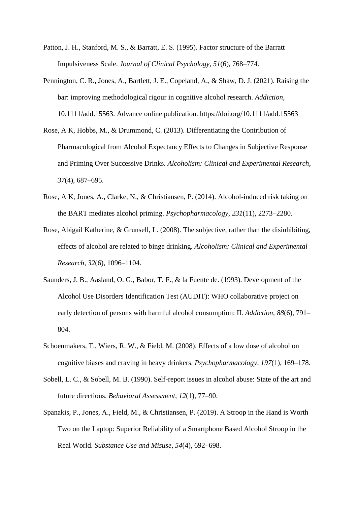- Patton, J. H., Stanford, M. S., & Barratt, E. S. (1995). Factor structure of the Barratt Impulsiveness Scale. *Journal of Clinical Psychology*, *51*(6), 768–774.
- Pennington, C. R., Jones, A., Bartlett, J. E., Copeland, A., & Shaw, D. J. (2021). Raising the bar: improving methodological rigour in cognitive alcohol research. *Addiction*, 10.1111/add.15563. Advance online publication. https://doi.org/10.1111/add.15563
- Rose, A K, Hobbs, M., & Drummond, C. (2013). Differentiating the Contribution of Pharmacological from Alcohol Expectancy Effects to Changes in Subjective Response and Priming Over Successive Drinks. *Alcoholism: Clinical and Experimental Research*, *37*(4), 687–695.
- Rose, A K, Jones, A., Clarke, N., & Christiansen, P. (2014). Alcohol-induced risk taking on the BART mediates alcohol priming. *Psychopharmacology*, *231*(11), 2273–2280.
- Rose, Abigail Katherine, & Grunsell, L. (2008). The subjective, rather than the disinhibiting, effects of alcohol are related to binge drinking. *Alcoholism: Clinical and Experimental Research*, *32*(6), 1096–1104.
- Saunders, J. B., Aasland, O. G., Babor, T. F., & la Fuente de. (1993). Development of the Alcohol Use Disorders Identification Test (AUDIT): WHO collaborative project on early detection of persons with harmful alcohol consumption: II. *Addiction*, *88*(6), 791– 804.
- Schoenmakers, T., Wiers, R. W., & Field, M. (2008). Effects of a low dose of alcohol on cognitive biases and craving in heavy drinkers. *Psychopharmacology*, *197*(1), 169–178.
- Sobell, L. C., & Sobell, M. B. (1990). Self-report issues in alcohol abuse: State of the art and future directions. *Behavioral Assessment*, *12*(1), 77–90.
- Spanakis, P., Jones, A., Field, M., & Christiansen, P. (2019). A Stroop in the Hand is Worth Two on the Laptop: Superior Reliability of a Smartphone Based Alcohol Stroop in the Real World. *Substance Use and Misuse*, *54*(4), 692–698.